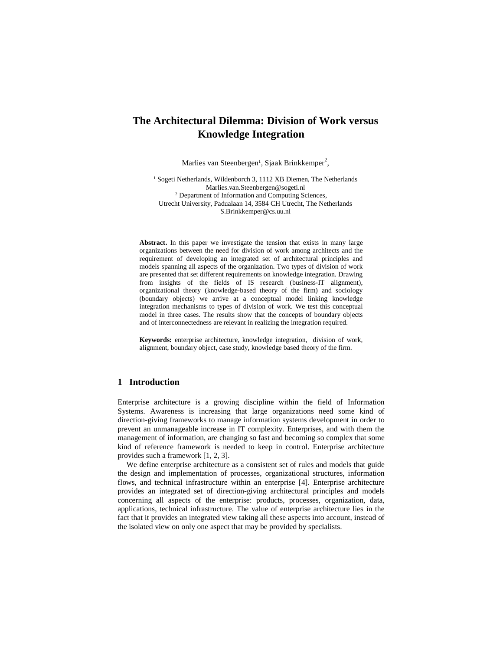# **The Architectural Dilemma: Division of Work versus Knowledge Integration**

Marlies van Steenbergen<sup>1</sup>, Sjaak Brinkkemper<sup>2</sup>,

<sup>1</sup> Sogeti Netherlands, Wildenborch 3, 1112 XB Diemen, The Netherlands Marlies.van.Steenbergen@sogeti.nl 2 Department of Information and Computing Sciences, Utrecht University, Padualaan 14, 3584 CH Utrecht, The Netherlands S.Brinkkemper@cs.uu.nl

Abstract. In this paper we investigate the tension that exists in many large organizations between the need for division of work among architects and the requirement of developing an integrated set of architectural principles and models spanning all aspects of the organization. Two types of division of work are presented that set different requirements on knowledge integration. Drawing from insights of the fields of IS research (business-IT alignment), organizational theory (knowledge-based theory of the firm) and sociology (boundary objects) we arrive at a conceptual model linking knowledge integration mechanisms to types of division of work. We test this conceptual model in three cases. The results show that the concepts of boundary objects and of interconnectedness are relevant in realizing the integration required.

**Keywords:** enterprise architecture, knowledge integration, division of work, alignment, boundary object, case study, knowledge based theory of the firm.

# **1 Introduction**

Enterprise architecture is a growing discipline within the field of Information Systems. Awareness is increasing that large organizations need some kind of direction-giving frameworks to manage information systems development in order to prevent an unmanageable increase in IT complexity. Enterprises, and with them the management of information, are changing so fast and becoming so complex that some kind of reference framework is needed to keep in control. Enterprise architecture provides such a framework [1, 2, 3].

We define enterprise architecture as a consistent set of rules and models that guide the design and implementation of processes, organizational structures, information flows, and technical infrastructure within an enterprise [4]. Enterprise architecture provides an integrated set of direction-giving architectural principles and models concerning all aspects of the enterprise: products, processes, organization, data, applications, technical infrastructure. The value of enterprise architecture lies in the fact that it provides an integrated view taking all these aspects into account, instead of the isolated view on only one aspect that may be provided by specialists.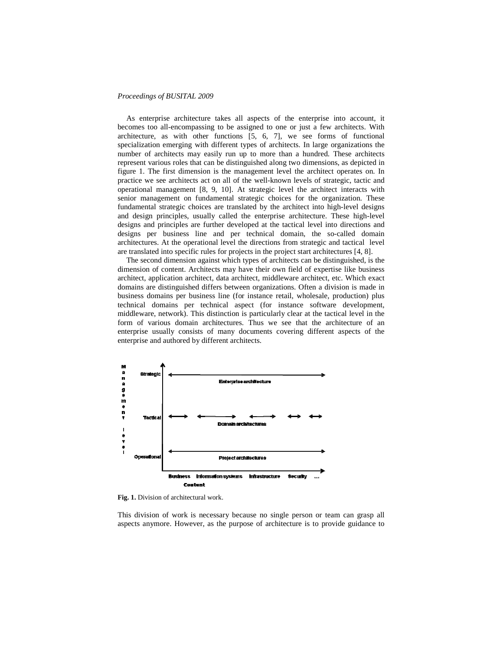As enterprise architecture takes all aspects of the enterprise into account, it becomes too all-encompassing to be assigned to one or just a few architects. With architecture, as with other functions [5, 6, 7], we see forms of functional specialization emerging with different types of architects. In large organizations the number of architects may easily run up to more than a hundred. These architects represent various roles that can be distinguished along two dimensions, as depicted in figure 1. The first dimension is the management level the architect operates on. In practice we see architects act on all of the well-known levels of strategic, tactic and operational management [8, 9, 10]. At strategic level the architect interacts with senior management on fundamental strategic choices for the organization. These fundamental strategic choices are translated by the architect into high-level designs and design principles, usually called the enterprise architecture. These high-level designs and principles are further developed at the tactical level into directions and designs per business line and per technical domain, the so-called domain architectures. At the operational level the directions from strategic and tactical level are translated into specific rules for projects in the project start architectures [4, 8].

The second dimension against which types of architects can be distinguished, is the dimension of content. Architects may have their own field of expertise like business architect, application architect, data architect, middleware architect, etc. Which exact domains are distinguished differs between organizations. Often a division is made in business domains per business line (for instance retail, wholesale, production) plus technical domains per technical aspect (for instance software development, middleware, network). This distinction is particularly clear at the tactical level in the form of various domain architectures. Thus we see that the architecture of an enterprise usually consists of many documents covering different aspects of the enterprise and authored by different architects.



**Fig. 1.** Division of architectural work.

This division of work is necessary because no single person or team can grasp all aspects anymore. However, as the purpose of architecture is to provide guidance to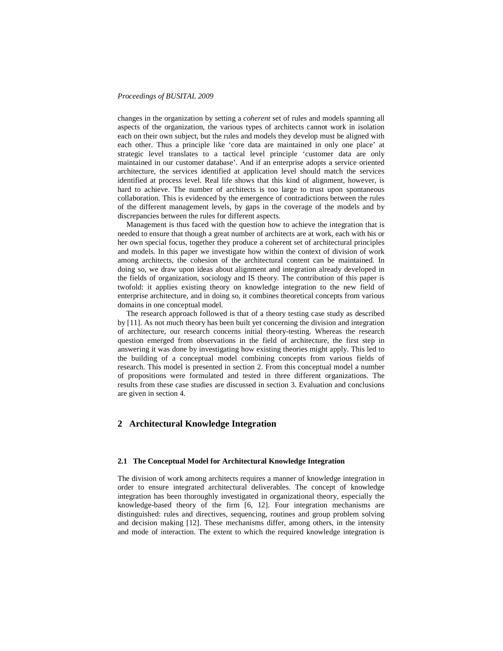changes in the organization by setting a *coherent* set of rules and models spanning all aspects of the organization, the various types of architects cannot work in isolation each on their own subject, but the rules and models they develop must be aligned with each other. Thus a principle like 'core data are maintained in only one place' at strategic level translates to a tactical level principle 'customer data are only maintained in our customer database'. And if an enterprise adopts a service oriented architecture, the services identified at application level should match the services identified at process level. Real life shows that this kind of alignment, however, is hard to achieve. The number of architects is too large to trust upon spontaneous collaboration. This is evidenced by the emergence of contradictions between the rules of the different management levels, by gaps in the coverage of the models and by discrepancies between the rules for different aspects.

Management is thus faced with the question how to achieve the integration that is needed to ensure that though a great number of architects are at work, each with his or her own special focus, together they produce a coherent set of architectural principles and models. In this paper we investigate how within the context of division of work among architects, the cohesion of the architectural content can be maintained. In doing so, we draw upon ideas about alignment and integration already developed in the fields of organization, sociology and IS theory. The contribution of this paper is twofold: it applies existing theory on knowledge integration to the new field of enterprise architecture, and in doing so, it combines theoretical concepts from various domains in one conceptual model.

The research approach followed is that of a theory testing case study as described by [11]. As not much theory has been built yet concerning the division and integration of architecture, our research concerns initial theory-testing. Whereas the research question emerged from observations in the field of architecture, the first step in answering it was done by investigating how existing theories might apply. This led to the building of a conceptual model combining concepts from various fields of research. This model is presented in section 2. From this conceptual model a number of propositions were formulated and tested in three different organizations. The results from these case studies are discussed in section 3. Evaluation and conclusions are given in section 4.

# **2 Architectural Knowledge Integration**

### **2.1 The Conceptual Model for Architectural Knowledge Integration**

The division of work among architects requires a manner of knowledge integration in order to ensure integrated architectural deliverables. The concept of knowledge integration has been thoroughly investigated in organizational theory, especially the knowledge-based theory of the firm [6, 12]. Four integration mechanisms are distinguished: rules and directives, sequencing, routines and group problem solving and decision making [12]. These mechanisms differ, among others, in the intensity and mode of interaction. The extent to which the required knowledge integration is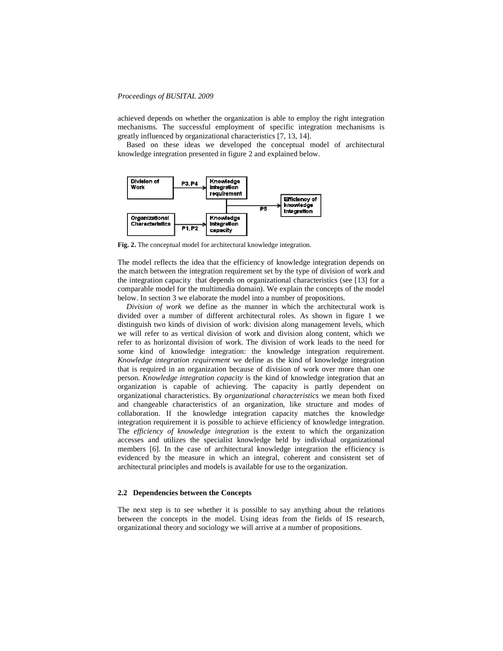achieved depends on whether the organization is able to employ the right integration mechanisms. The successful employment of specific integration mechanisms is greatly influenced by organizational characteristics [7, 13, 14].

Based on these ideas we developed the conceptual model of architectural knowledge integration presented in figure 2 and explained below.



**Fig. 2.** The conceptual model for architectural knowledge integration.

The model reflects the idea that the efficiency of knowledge integration depends on the match between the integration requirement set by the type of division of work and the integration capacity that depends on organizational characteristics (see [13] for a comparable model for the multimedia domain). We explain the concepts of the model below. In section 3 we elaborate the model into a number of propositions.

*Division of work* we define as the manner in which the architectural work is divided over a number of different architectural roles. As shown in figure 1 we distinguish two kinds of division of work: division along management levels, which we will refer to as vertical division of work and division along content, which we refer to as horizontal division of work. The division of work leads to the need for some kind of knowledge integration: the knowledge integration requirement. *Knowledge integration requirement* we define as the kind of knowledge integration that is required in an organization because of division of work over more than one person. *Knowledge integration capacity* is the kind of knowledge integration that an organization is capable of achieving. The capacity is partly dependent on organizational characteristics. By *organizational characteristics* we mean both fixed and changeable characteristics of an organization, like structure and modes of collaboration. If the knowledge integration capacity matches the knowledge integration requirement it is possible to achieve efficiency of knowledge integration. The *efficiency of knowledge integration* is the extent to which the organization accesses and utilizes the specialist knowledge held by individual organizational members [6]. In the case of architectural knowledge integration the efficiency is evidenced by the measure in which an integral, coherent and consistent set of architectural principles and models is available for use to the organization.

## **2.2 Dependencies between the Concepts**

The next step is to see whether it is possible to say anything about the relations between the concepts in the model. Using ideas from the fields of IS research, organizational theory and sociology we will arrive at a number of propositions.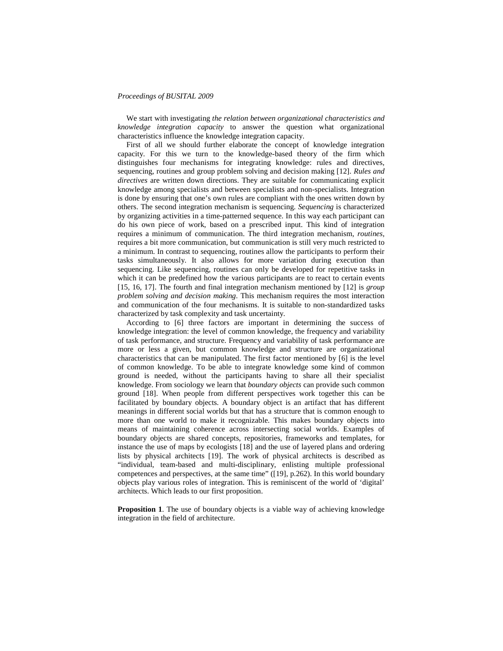We start with investigating *the relation between organizational characteristics and knowledge integration capacity* to answer the question what organizational characteristics influence the knowledge integration capacity.

First of all we should further elaborate the concept of knowledge integration capacity. For this we turn to the knowledge-based theory of the firm which distinguishes four mechanisms for integrating knowledge: rules and directives, sequencing, routines and group problem solving and decision making [12]. *Rules and directives* are written down directions. They are suitable for communicating explicit knowledge among specialists and between specialists and non-specialists. Integration is done by ensuring that one's own rules are compliant with the ones written down by others. The second integration mechanism is sequencing. *Sequencing* is characterized by organizing activities in a time-patterned sequence. In this way each participant can do his own piece of work, based on a prescribed input. This kind of integration requires a minimum of communication. The third integration mechanism, *routines*, requires a bit more communication, but communication is still very much restricted to a minimum. In contrast to sequencing, routines allow the participants to perform their tasks simultaneously. It also allows for more variation during execution than sequencing. Like sequencing, routines can only be developed for repetitive tasks in which it can be predefined how the various participants are to react to certain events [15, 16, 17]. The fourth and final integration mechanism mentioned by [12] is *group problem solving and decision making*. This mechanism requires the most interaction and communication of the four mechanisms. It is suitable to non-standardized tasks characterized by task complexity and task uncertainty.

According to [6] three factors are important in determining the success of knowledge integration: the level of common knowledge, the frequency and variability of task performance, and structure. Frequency and variability of task performance are more or less a given, but common knowledge and structure are organizational characteristics that can be manipulated. The first factor mentioned by [6] is the level of common knowledge. To be able to integrate knowledge some kind of common ground is needed, without the participants having to share all their specialist knowledge. From sociology we learn that *boundary objects* can provide such common ground [18]. When people from different perspectives work together this can be facilitated by boundary objects. A boundary object is an artifact that has different meanings in different social worlds but that has a structure that is common enough to more than one world to make it recognizable. This makes boundary objects into means of maintaining coherence across intersecting social worlds. Examples of boundary objects are shared concepts, repositories, frameworks and templates, for instance the use of maps by ecologists [18] and the use of layered plans and ordering lists by physical architects [19]. The work of physical architects is described as "individual, team-based and multi-disciplinary, enlisting multiple professional competences and perspectives, at the same time" ([19], p.262). In this world boundary objects play various roles of integration. This is reminiscent of the world of 'digital' architects. Which leads to our first proposition.

**Proposition 1**. The use of boundary objects is a viable way of achieving knowledge integration in the field of architecture.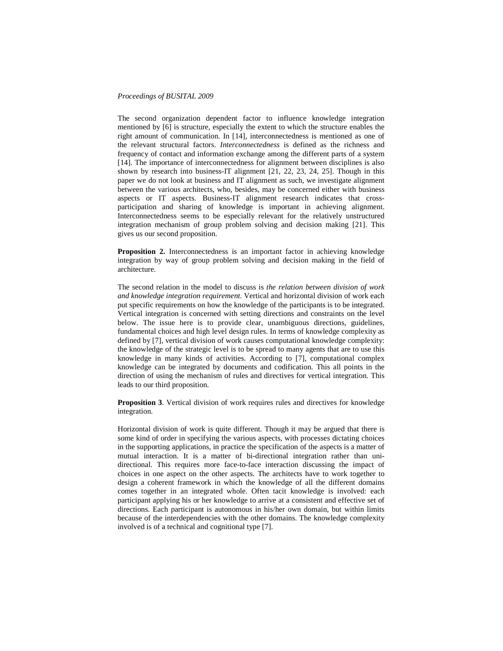The second organization dependent factor to influence knowledge integration mentioned by [6] is structure, especially the extent to which the structure enables the right amount of communication. In [14], interconnectedness is mentioned as one of the relevant structural factors. *Interconnectedness* is defined as the richness and frequency of contact and information exchange among the different parts of a system [14]. The importance of interconnectedness for alignment between disciplines is also shown by research into business-IT alignment [21, 22, 23, 24, 25]. Though in this paper we do not look at business and IT alignment as such, we investigate alignment between the various architects, who, besides, may be concerned either with business aspects or IT aspects. Business-IT alignment research indicates that crossparticipation and sharing of knowledge is important in achieving alignment. Interconnectedness seems to be especially relevant for the relatively unstructured integration mechanism of group problem solving and decision making [21]. This gives us our second proposition.

**Proposition 2.** Interconnectedness is an important factor in achieving knowledge integration by way of group problem solving and decision making in the field of architecture.

The second relation in the model to discuss is *the relation between division of work and knowledge integration requirement*. Vertical and horizontal division of work each put specific requirements on how the knowledge of the participants is to be integrated. Vertical integration is concerned with setting directions and constraints on the level below. The issue here is to provide clear, unambiguous directions, guidelines, fundamental choices and high level design rules. In terms of knowledge complexity as defined by [7], vertical division of work causes computational knowledge complexity: the knowledge of the strategic level is to be spread to many agents that are to use this knowledge in many kinds of activities. According to [7], computational complex knowledge can be integrated by documents and codification. This all points in the direction of using the mechanism of rules and directives for vertical integration. This leads to our third proposition.

**Proposition 3**. Vertical division of work requires rules and directives for knowledge integration.

Horizontal division of work is quite different. Though it may be argued that there is some kind of order in specifying the various aspects, with processes dictating choices in the supporting applications, in practice the specification of the aspects is a matter of mutual interaction. It is a matter of bi-directional integration rather than unidirectional. This requires more face-to-face interaction discussing the impact of choices in one aspect on the other aspects. The architects have to work together to design a coherent framework in which the knowledge of all the different domains comes together in an integrated whole. Often tacit knowledge is involved: each participant applying his or her knowledge to arrive at a consistent and effective set of directions. Each participant is autonomous in his/her own domain, but within limits because of the interdependencies with the other domains. The knowledge complexity involved is of a technical and cognitional type [7].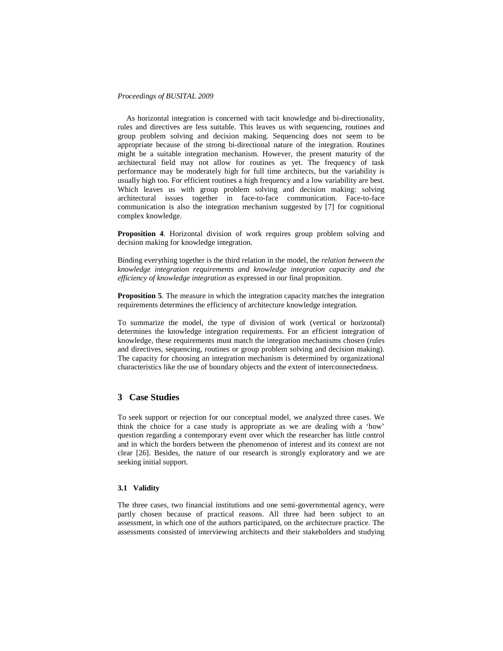As horizontal integration is concerned with tacit knowledge and bi-directionality, rules and directives are less suitable. This leaves us with sequencing, routines and group problem solving and decision making. Sequencing does not seem to be appropriate because of the strong bi-directional nature of the integration. Routines might be a suitable integration mechanism. However, the present maturity of the architectural field may not allow for routines as yet. The frequency of task performance may be moderately high for full time architects, but the variability is usually high too. For efficient routines a high frequency and a low variability are best. Which leaves us with group problem solving and decision making: solving architectural issues together in face-to-face communication. Face-to-face communication is also the integration mechanism suggested by [7] for cognitional complex knowledge.

**Proposition 4**. Horizontal division of work requires group problem solving and decision making for knowledge integration.

Binding everything together is the third relation in the model, the *relation between the knowledge integration requirements and knowledge integration capacity and the efficiency of knowledge integration* as expressed in our final proposition.

**Proposition 5**. The measure in which the integration capacity matches the integration requirements determines the efficiency of architecture knowledge integration.

To summarize the model, the type of division of work (vertical or horizontal) determines the knowledge integration requirements. For an efficient integration of knowledge, these requirements must match the integration mechanisms chosen (rules and directives, sequencing, routines or group problem solving and decision making). The capacity for choosing an integration mechanism is determined by organizational characteristics like the use of boundary objects and the extent of interconnectedness.

# **3 Case Studies**

To seek support or rejection for our conceptual model, we analyzed three cases. We think the choice for a case study is appropriate as we are dealing with a 'how' question regarding a contemporary event over which the researcher has little control and in which the borders between the phenomenon of interest and its context are not clear [26]. Besides, the nature of our research is strongly exploratory and we are seeking initial support.

# **3.1 Validity**

The three cases, two financial institutions and one semi-governmental agency, were partly chosen because of practical reasons. All three had been subject to an assessment, in which one of the authors participated, on the architecture practice. The assessments consisted of interviewing architects and their stakeholders and studying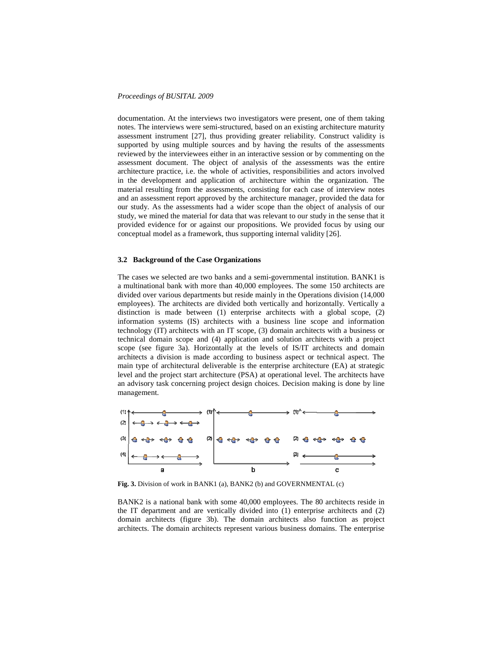documentation. At the interviews two investigators were present, one of them taking notes. The interviews were semi-structured, based on an existing architecture maturity assessment instrument [27], thus providing greater reliability. Construct validity is supported by using multiple sources and by having the results of the assessments reviewed by the interviewees either in an interactive session or by commenting on the assessment document. The object of analysis of the assessments was the entire architecture practice, i.e. the whole of activities, responsibilities and actors involved in the development and application of architecture within the organization. The material resulting from the assessments, consisting for each case of interview notes and an assessment report approved by the architecture manager, provided the data for our study. As the assessments had a wider scope than the object of analysis of our study, we mined the material for data that was relevant to our study in the sense that it provided evidence for or against our propositions. We provided focus by using our conceptual model as a framework, thus supporting internal validity [26].

#### **3.2 Background of the Case Organizations**

The cases we selected are two banks and a semi-governmental institution. BANK1 is a multinational bank with more than 40,000 employees. The some 150 architects are divided over various departments but reside mainly in the Operations division (14,000 employees). The architects are divided both vertically and horizontally. Vertically a distinction is made between (1) enterprise architects with a global scope, (2) information systems (IS) architects with a business line scope and information technology (IT) architects with an IT scope, (3) domain architects with a business or technical domain scope and (4) application and solution architects with a project scope (see figure 3a). Horizontally at the levels of IS/IT architects and domain architects a division is made according to business aspect or technical aspect. The main type of architectural deliverable is the enterprise architecture (EA) at strategic level and the project start architecture (PSA) at operational level. The architects have an advisory task concerning project design choices. Decision making is done by line management.



**Fig. 3.** Division of work in BANK1 (a), BANK2 (b) and GOVERNMENTAL (c)

BANK2 is a national bank with some 40,000 employees. The 80 architects reside in the IT department and are vertically divided into (1) enterprise architects and (2) domain architects (figure 3b). The domain architects also function as project architects. The domain architects represent various business domains. The enterprise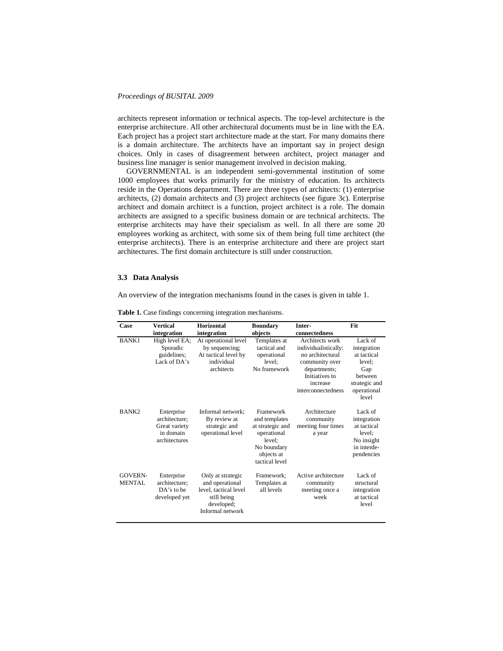architects represent information or technical aspects. The top-level architecture is the enterprise architecture. All other architectural documents must be in line with the EA. Each project has a project start architecture made at the start. For many domains there is a domain architecture. The architects have an important say in project design choices. Only in cases of disagreement between architect, project manager and business line manager is senior management involved in decision making.

GOVERNMENTAL is an independent semi-governmental institution of some 1000 employees that works primarily for the ministry of education. Its architects reside in the Operations department. There are three types of architects: (1) enterprise architects, (2) domain architects and (3) project architects (see figure 3c). Enterprise architect and domain architect is a function, project architect is a role. The domain architects are assigned to a specific business domain or are technical architects. The enterprise architects may have their specialism as well. In all there are some 20 employees working as architect, with some six of them being full time architect (the enterprise architects). There is an enterprise architecture and there are project start architectures. The first domain architecture is still under construction.

### **3.3 Data Analysis**

An overview of the integration mechanisms found in the cases is given in table 1.

| Case                            | Vertical                                                                   | <b>Horizontal</b>                                                                                              | <b>Boundary</b>                                                                                                        | Inter-                                                                                                                                            | Fit                                                                                                        |
|---------------------------------|----------------------------------------------------------------------------|----------------------------------------------------------------------------------------------------------------|------------------------------------------------------------------------------------------------------------------------|---------------------------------------------------------------------------------------------------------------------------------------------------|------------------------------------------------------------------------------------------------------------|
|                                 | integration                                                                | integration                                                                                                    | objects                                                                                                                | connectedness                                                                                                                                     |                                                                                                            |
| <b>BANK1</b>                    | High level EA;<br>Sporadic<br>guidelines;<br>Lack of DA's                  | At operational level<br>by sequencing;<br>At tactical level by<br>individual<br>architects                     | Templates at<br>tactical and<br>operational<br>level:<br>No framework                                                  | Architects work<br>individualistically:<br>no architectural<br>community over<br>departments;<br>Initiatives to<br>increase<br>interconnectedness | Lack of<br>integration<br>at tactical<br>level:<br>Gap<br>between<br>strategic and<br>operational<br>level |
| BANK <sub>2</sub>               | Enterprise<br>architecture:<br>Great variety<br>in domain<br>architectures | Informal network;<br>By review at<br>strategic and<br>operational level                                        | Framework<br>and templates<br>at strategic and<br>operational<br>level:<br>No boundary<br>objects at<br>tactical level | Architecture<br>community<br>meeting four times<br>a year                                                                                         | Lack of<br>integration<br>at tactical<br>level;<br>No insight<br>in interde-<br>pendencies                 |
| <b>GOVERN-</b><br><b>MENTAL</b> | Enterprise<br>architecture:<br>$DA's$ to be<br>developed yet               | Only at strategic<br>and operational<br>level, tactical level<br>still being<br>developed;<br>Informal network | Framework:<br>Templates at<br>all levels                                                                               | Active architecture<br>community<br>meeting once a<br>week                                                                                        | Lack of<br>structural<br>integration<br>at tactical<br>level                                               |

**Table 1.** Case findings concerning integration mechanisms.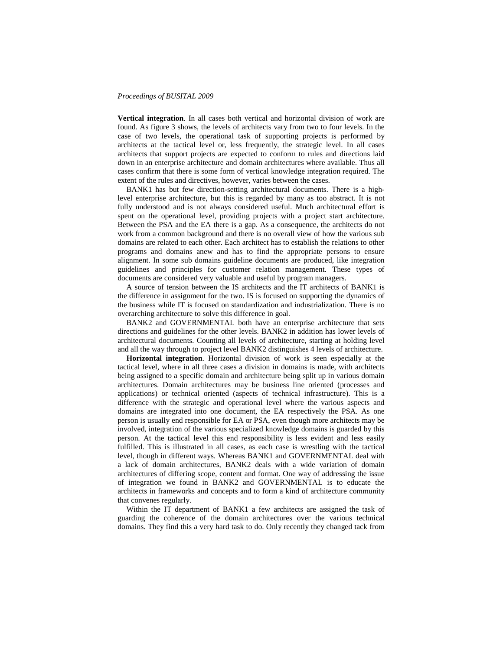**Vertical integration**. In all cases both vertical and horizontal division of work are found. As figure 3 shows, the levels of architects vary from two to four levels. In the case of two levels, the operational task of supporting projects is performed by architects at the tactical level or, less frequently, the strategic level. In all cases architects that support projects are expected to conform to rules and directions laid down in an enterprise architecture and domain architectures where available. Thus all cases confirm that there is some form of vertical knowledge integration required. The extent of the rules and directives, however, varies between the cases.

BANK1 has but few direction-setting architectural documents. There is a highlevel enterprise architecture, but this is regarded by many as too abstract. It is not fully understood and is not always considered useful. Much architectural effort is spent on the operational level, providing projects with a project start architecture. Between the PSA and the EA there is a gap. As a consequence, the architects do not work from a common background and there is no overall view of how the various sub domains are related to each other. Each architect has to establish the relations to other programs and domains anew and has to find the appropriate persons to ensure alignment. In some sub domains guideline documents are produced, like integration guidelines and principles for customer relation management. These types of documents are considered very valuable and useful by program managers.

A source of tension between the IS architects and the IT architects of BANK1 is the difference in assignment for the two. IS is focused on supporting the dynamics of the business while IT is focused on standardization and industrialization. There is no overarching architecture to solve this difference in goal.

BANK2 and GOVERNMENTAL both have an enterprise architecture that sets directions and guidelines for the other levels. BANK2 in addition has lower levels of architectural documents. Counting all levels of architecture, starting at holding level and all the way through to project level BANK2 distinguishes 4 levels of architecture.

**Horizontal integration**. Horizontal division of work is seen especially at the tactical level, where in all three cases a division in domains is made, with architects being assigned to a specific domain and architecture being split up in various domain architectures. Domain architectures may be business line oriented (processes and applications) or technical oriented (aspects of technical infrastructure). This is a difference with the strategic and operational level where the various aspects and domains are integrated into one document, the EA respectively the PSA. As one person is usually end responsible for EA or PSA, even though more architects may be involved, integration of the various specialized knowledge domains is guarded by this person. At the tactical level this end responsibility is less evident and less easily fulfilled. This is illustrated in all cases, as each case is wrestling with the tactical level, though in different ways. Whereas BANK1 and GOVERNMENTAL deal with a lack of domain architectures, BANK2 deals with a wide variation of domain architectures of differing scope, content and format. One way of addressing the issue of integration we found in BANK2 and GOVERNMENTAL is to educate the architects in frameworks and concepts and to form a kind of architecture community that convenes regularly.

Within the IT department of BANK1 a few architects are assigned the task of guarding the coherence of the domain architectures over the various technical domains. They find this a very hard task to do. Only recently they changed tack from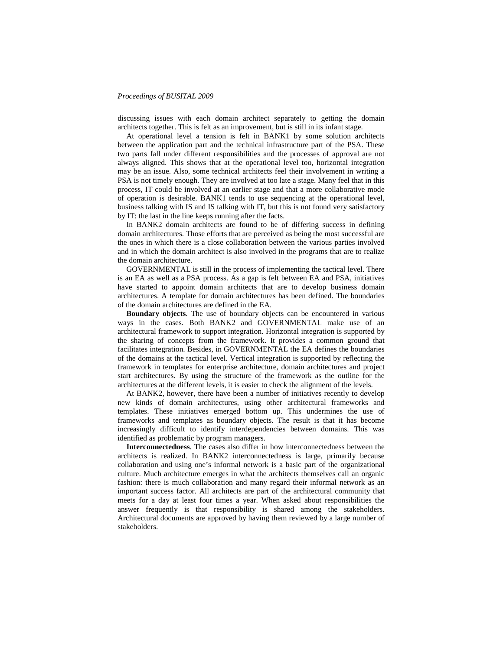discussing issues with each domain architect separately to getting the domain architects together. This is felt as an improvement, but is still in its infant stage.

At operational level a tension is felt in BANK1 by some solution architects between the application part and the technical infrastructure part of the PSA. These two parts fall under different responsibilities and the processes of approval are not always aligned. This shows that at the operational level too, horizontal integration may be an issue. Also, some technical architects feel their involvement in writing a PSA is not timely enough. They are involved at too late a stage. Many feel that in this process, IT could be involved at an earlier stage and that a more collaborative mode of operation is desirable. BANK1 tends to use sequencing at the operational level, business talking with IS and IS talking with IT, but this is not found very satisfactory by IT: the last in the line keeps running after the facts.

In BANK2 domain architects are found to be of differing success in defining domain architectures. Those efforts that are perceived as being the most successful are the ones in which there is a close collaboration between the various parties involved and in which the domain architect is also involved in the programs that are to realize the domain architecture.

GOVERNMENTAL is still in the process of implementing the tactical level. There is an EA as well as a PSA process. As a gap is felt between EA and PSA, initiatives have started to appoint domain architects that are to develop business domain architectures. A template for domain architectures has been defined. The boundaries of the domain architectures are defined in the EA.

**Boundary objects**. The use of boundary objects can be encountered in various ways in the cases. Both BANK2 and GOVERNMENTAL make use of an architectural framework to support integration. Horizontal integration is supported by the sharing of concepts from the framework. It provides a common ground that facilitates integration. Besides, in GOVERNMENTAL the EA defines the boundaries of the domains at the tactical level. Vertical integration is supported by reflecting the framework in templates for enterprise architecture, domain architectures and project start architectures. By using the structure of the framework as the outline for the architectures at the different levels, it is easier to check the alignment of the levels.

At BANK2, however, there have been a number of initiatives recently to develop new kinds of domain architectures, using other architectural frameworks and templates. These initiatives emerged bottom up. This undermines the use of frameworks and templates as boundary objects. The result is that it has become increasingly difficult to identify interdependencies between domains. This was identified as problematic by program managers.

**Interconnectedness**. The cases also differ in how interconnectedness between the architects is realized. In BANK2 interconnectedness is large, primarily because collaboration and using one's informal network is a basic part of the organizational culture. Much architecture emerges in what the architects themselves call an organic fashion: there is much collaboration and many regard their informal network as an important success factor. All architects are part of the architectural community that meets for a day at least four times a year. When asked about responsibilities the answer frequently is that responsibility is shared among the stakeholders. Architectural documents are approved by having them reviewed by a large number of stakeholders.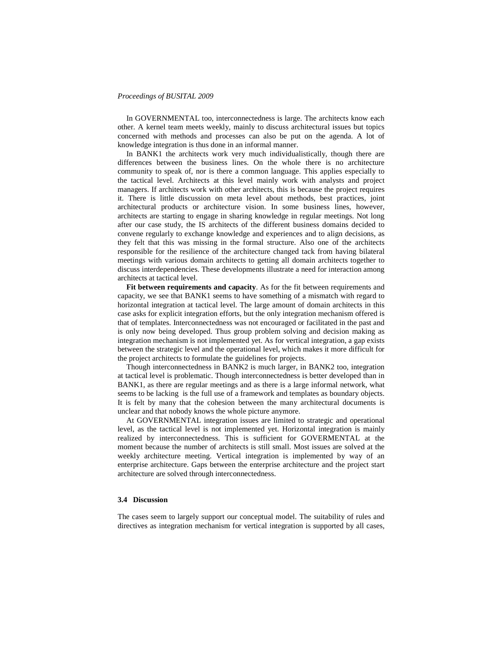In GOVERNMENTAL too, interconnectedness is large. The architects know each other. A kernel team meets weekly, mainly to discuss architectural issues but topics concerned with methods and processes can also be put on the agenda. A lot of knowledge integration is thus done in an informal manner.

In BANK1 the architects work very much individualistically, though there are differences between the business lines. On the whole there is no architecture community to speak of, nor is there a common language. This applies especially to the tactical level. Architects at this level mainly work with analysts and project managers. If architects work with other architects, this is because the project requires it. There is little discussion on meta level about methods, best practices, joint architectural products or architecture vision. In some business lines, however, architects are starting to engage in sharing knowledge in regular meetings. Not long after our case study, the IS architects of the different business domains decided to convene regularly to exchange knowledge and experiences and to align decisions, as they felt that this was missing in the formal structure. Also one of the architects responsible for the resilience of the architecture changed tack from having bilateral meetings with various domain architects to getting all domain architects together to discuss interdependencies. These developments illustrate a need for interaction among architects at tactical level.

**Fit between requirements and capacity**. As for the fit between requirements and capacity, we see that BANK1 seems to have something of a mismatch with regard to horizontal integration at tactical level. The large amount of domain architects in this case asks for explicit integration efforts, but the only integration mechanism offered is that of templates. Interconnectedness was not encouraged or facilitated in the past and is only now being developed. Thus group problem solving and decision making as integration mechanism is not implemented yet. As for vertical integration, a gap exists between the strategic level and the operational level, which makes it more difficult for the project architects to formulate the guidelines for projects.

Though interconnectedness in BANK2 is much larger, in BANK2 too, integration at tactical level is problematic. Though interconnectedness is better developed than in BANK1, as there are regular meetings and as there is a large informal network, what seems to be lacking is the full use of a framework and templates as boundary objects. It is felt by many that the cohesion between the many architectural documents is unclear and that nobody knows the whole picture anymore.

At GOVERNMENTAL integration issues are limited to strategic and operational level, as the tactical level is not implemented yet. Horizontal integration is mainly realized by interconnectedness. This is sufficient for GOVERMENTAL at the moment because the number of architects is still small. Most issues are solved at the weekly architecture meeting. Vertical integration is implemented by way of an enterprise architecture. Gaps between the enterprise architecture and the project start architecture are solved through interconnectedness.

### **3.4 Discussion**

The cases seem to largely support our conceptual model. The suitability of rules and directives as integration mechanism for vertical integration is supported by all cases,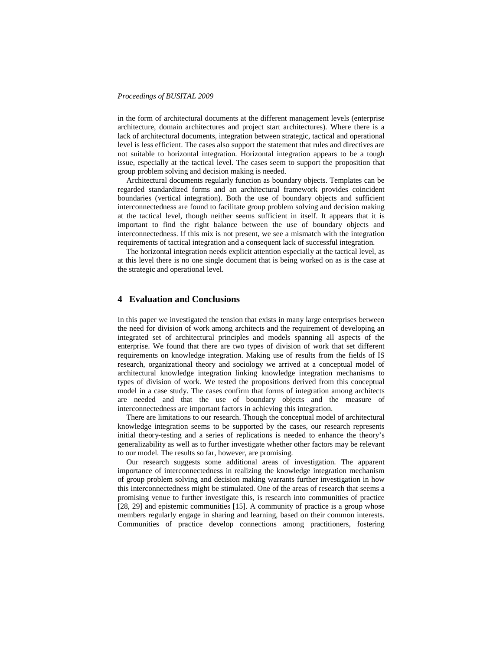in the form of architectural documents at the different management levels (enterprise architecture, domain architectures and project start architectures). Where there is a lack of architectural documents, integration between strategic, tactical and operational level is less efficient. The cases also support the statement that rules and directives are not suitable to horizontal integration. Horizontal integration appears to be a tough issue, especially at the tactical level. The cases seem to support the proposition that group problem solving and decision making is needed.

Architectural documents regularly function as boundary objects. Templates can be regarded standardized forms and an architectural framework provides coincident boundaries (vertical integration). Both the use of boundary objects and sufficient interconnectedness are found to facilitate group problem solving and decision making at the tactical level, though neither seems sufficient in itself. It appears that it is important to find the right balance between the use of boundary objects and interconnectedness. If this mix is not present, we see a mismatch with the integration requirements of tactical integration and a consequent lack of successful integration.

The horizontal integration needs explicit attention especially at the tactical level, as at this level there is no one single document that is being worked on as is the case at the strategic and operational level.

# **4 Evaluation and Conclusions**

In this paper we investigated the tension that exists in many large enterprises between the need for division of work among architects and the requirement of developing an integrated set of architectural principles and models spanning all aspects of the enterprise. We found that there are two types of division of work that set different requirements on knowledge integration. Making use of results from the fields of IS research, organizational theory and sociology we arrived at a conceptual model of architectural knowledge integration linking knowledge integration mechanisms to types of division of work. We tested the propositions derived from this conceptual model in a case study. The cases confirm that forms of integration among architects are needed and that the use of boundary objects and the measure of interconnectedness are important factors in achieving this integration.

There are limitations to our research. Though the conceptual model of architectural knowledge integration seems to be supported by the cases, our research represents initial theory-testing and a series of replications is needed to enhance the theory's generalizability as well as to further investigate whether other factors may be relevant to our model. The results so far, however, are promising.

Our research suggests some additional areas of investigation. The apparent importance of interconnectedness in realizing the knowledge integration mechanism of group problem solving and decision making warrants further investigation in how this interconnectedness might be stimulated. One of the areas of research that seems a promising venue to further investigate this, is research into communities of practice [28, 29] and epistemic communities [15]. A community of practice is a group whose members regularly engage in sharing and learning, based on their common interests. Communities of practice develop connections among practitioners, fostering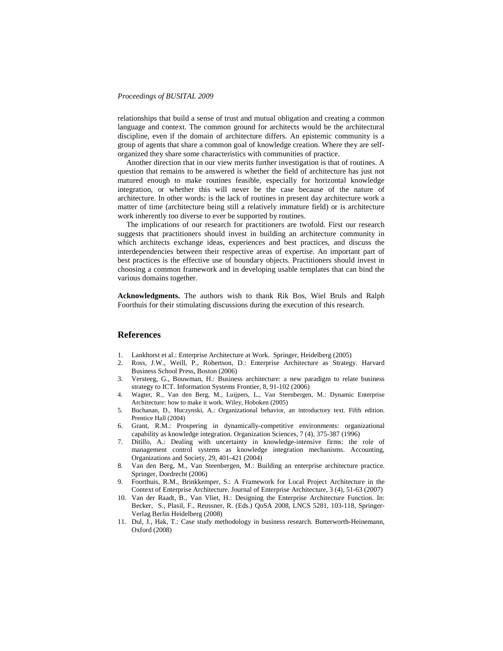relationships that build a sense of trust and mutual obligation and creating a common language and context. The common ground for architects would be the architectural discipline, even if the domain of architecture differs. An epistemic community is a group of agents that share a common goal of knowledge creation. Where they are selforganized they share some characteristics with communities of practice.

Another direction that in our view merits further investigation is that of routines. A question that remains to be answered is whether the field of architecture has just not matured enough to make routines feasible, especially for horizontal knowledge integration, or whether this will never be the case because of the nature of architecture. In other words: is the lack of routines in present day architecture work a matter of time (architecture being still a relatively immature field) or is architecture work inherently too diverse to ever be supported by routines.

The implications of our research for practitioners are twofold. First our research suggests that practitioners should invest in building an architecture community in which architects exchange ideas, experiences and best practices, and discuss the interdependencies between their respective areas of expertise. An important part of best practices is the effective use of boundary objects. Practitioners should invest in choosing a common framework and in developing usable templates that can bind the various domains together.

**Acknowledgments.** The authors wish to thank Rik Bos, Wiel Bruls and Ralph Foorthuis for their stimulating discussions during the execution of this research.

# **References**

- 1. Lankhorst et al.: Enterprise Architecture at Work. Springer, Heidelberg (2005)<br>2. Ross, J.W., Weill, P., Robertson, D.: Enterprise Architecture as Strateg
- 2. Ross, J.W., Weill, P., Robertson, D.: Enterprise Architecture as Strategy. Harvard Business School Press, Boston (2006)
- 3. Versteeg, G., Bouwman, H.: Business architecture: a new paradigm to relate business strategy to ICT. Information Systems Frontier, 8, 91-102 (2006)
- 4. Wagter, R., Van den Berg, M., Luijpers, L., Van Steenbergen, M.: Dynamic Enterprise Architecture: how to make it work. Wiley, Hoboken (2005)
- 5. Buchanan, D., Huczynski, A.: Organizational behavior, an introductory text. Fifth edition. Prentice Hall (2004)
- 6. Grant, R.M.: Prospering in dynamically-competitive environments: organizational capability as knowledge integration. Organization Sciences, 7 (4), 375-387 (1996)
- 7. Ditillo, A.: Dealing with uncertainty in knowledge-intensive firms: the role of management control systems as knowledge integration mechanisms. Accounting, Organizations and Society, 29, 401-421 (2004)
- 8. Van den Berg, M., Van Steenbergen, M.: Building an enterprise architecture practice. Springer, Dordrecht (2006)
- 9. Foorthuis, R.M., Brinkkemper, S.: A Framework for Local Project Architecture in the Context of Enterprise Architecture. Journal of Enterprise Architecture, 3 (4), 51-63 (2007)
- 10. Van der Raadt, B., Van Vliet, H.: Designing the Enterprise Architecture Function. In: Becker, S., Plasil, F., Reussner, R. (Eds.) QoSA 2008, LNCS 5281, 103-118, Springer-Verlag Berlin Heidelberg (2008)
- 11. Dul, J., Hak, T.: Case study methodology in business research. Butterworth-Heinemann, Oxford (2008)